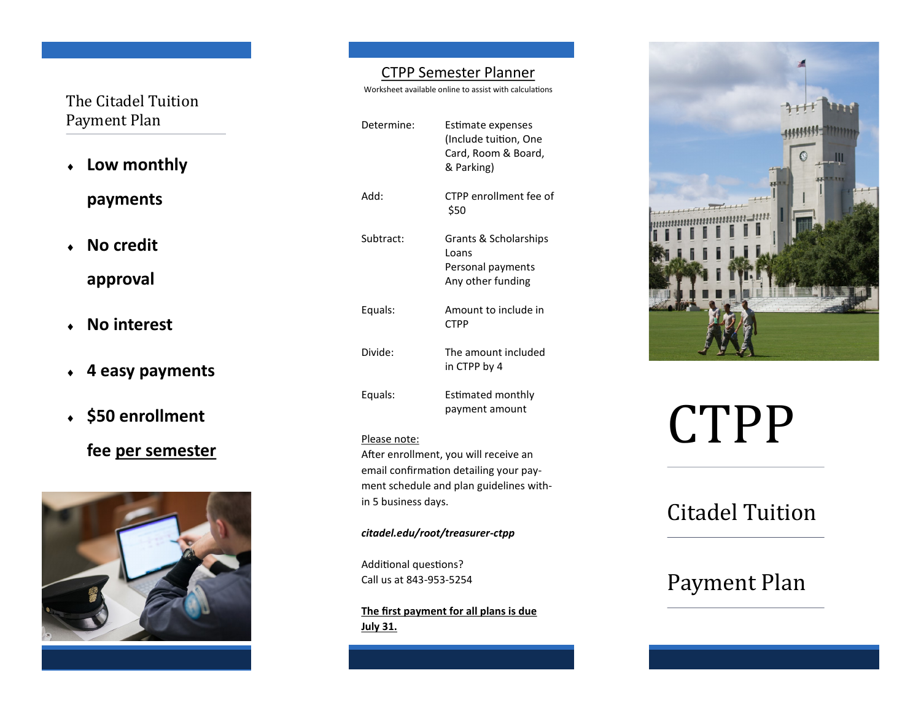## The Citadel Tuition Payment Plan

- **Low monthly payments**
- **No credit approval**
- **No interest**
- **4 easy payments**
- **\$50 enrollment**

## **fee per semester**



### CTPP Semester Planner

Worksheet available online to assist with calculations

| Determine: | Estimate expenses<br>(Include tuition, One<br>Card, Room & Board,<br>& Parking) |
|------------|---------------------------------------------------------------------------------|
| :Add       | CTPP enrollment fee of<br>\$50                                                  |
| Subtract:  | Grants & Scholarships<br>Loans<br>Personal payments<br>Any other funding        |
| Equals:    | Amount to include in<br><b>CTPP</b>                                             |
| Divide:    | The amount included<br>in CTPP by 4                                             |
| Equals:    | Estimated monthly<br>payment amount                                             |

#### Please note:

After enrollment, you will receive an email confirmation detailing your payment schedule and plan guidelines within 5 business days.

*citadel.edu/root/treasurer-ctpp*

Additional questions? Call us at 843-953-5254

**The first payment for all plans is due July 31.** 



# CTPP

# Citadel Tuition

# Payment Plan